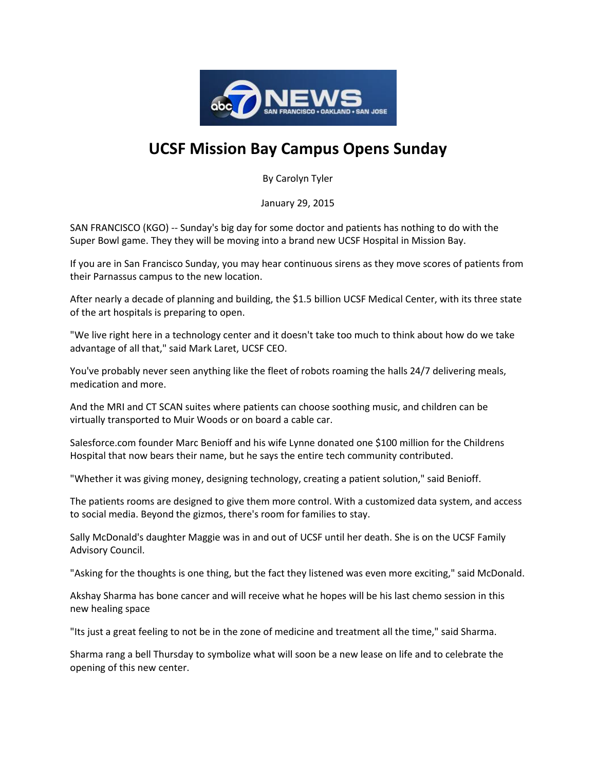

## **UCSF Mission Bay Campus Opens Sunday**

By Carolyn Tyler

January 29, 2015

SAN FRANCISCO (KGO) -- Sunday's big day for some doctor and patients has nothing to do with the Super Bowl game. They they will be moving into a brand new UCSF Hospital in Mission Bay.

If you are in San Francisco Sunday, you may hear continuous sirens as they move scores of patients from their Parnassus campus to the new location.

After nearly a decade of planning and building, the \$1.5 billion UCSF Medical Center, with its three state of the art hospitals is preparing to open.

"We live right here in a technology center and it doesn't take too much to think about how do we take advantage of all that," said Mark Laret, UCSF CEO.

You've probably never seen anything like the fleet of robots roaming the halls 24/7 delivering meals, medication and more.

And the MRI and CT SCAN suites where patients can choose soothing music, and children can be virtually transported to Muir Woods or on board a cable car.

Salesforce.com founder Marc Benioff and his wife Lynne donated one \$100 million for the Childrens Hospital that now bears their name, but he says the entire tech community contributed.

"Whether it was giving money, designing technology, creating a patient solution," said Benioff.

The patients rooms are designed to give them more control. With a customized data system, and access to social media. Beyond the gizmos, there's room for families to stay.

Sally McDonald's daughter Maggie was in and out of UCSF until her death. She is on the UCSF Family Advisory Council.

"Asking for the thoughts is one thing, but the fact they listened was even more exciting," said McDonald.

Akshay Sharma has bone cancer and will receive what he hopes will be his last chemo session in this new healing space

"Its just a great feeling to not be in the zone of medicine and treatment all the time," said Sharma.

Sharma rang a bell Thursday to symbolize what will soon be a new lease on life and to celebrate the opening of this new center.